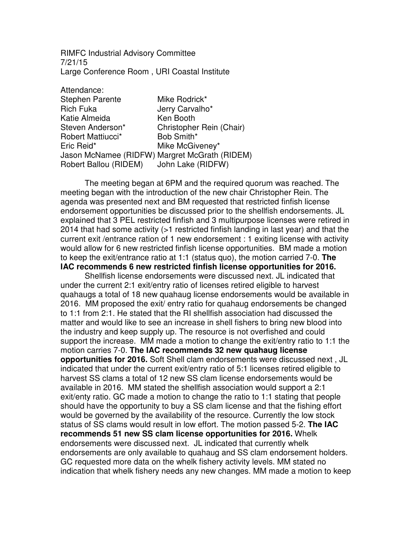RIMFC Industrial Advisory Committee 7/21/15 Large Conference Room , URI Coastal Institute

| Mike Rodrick*                                 |
|-----------------------------------------------|
| Jerry Carvalho*                               |
| Ken Booth                                     |
| Christopher Rein (Chair)                      |
| Bob Smith*                                    |
| Mike McGiveney*                               |
| Jason McNamee (RIDFW) Margret McGrath (RIDEM) |
| John Lake (RIDFW)                             |
|                                               |

 The meeting began at 6PM and the required quorum was reached. The meeting began with the introduction of the new chair Christopher Rein. The agenda was presented next and BM requested that restricted finfish license endorsement opportunities be discussed prior to the shellfish endorsements. JL explained that 3 PEL restricted finfish and 3 multipurpose licenses were retired in 2014 that had some activity (>1 restricted finfish landing in last year) and that the current exit /entrance ration of 1 new endorsement : 1 exiting license with activity would allow for 6 new restricted finfish license opportunities. BM made a motion to keep the exit/entrance ratio at 1:1 (status quo), the motion carried 7-0. **The IAC recommends 6 new restricted finfish license opportunities for 2016.** 

Shellfish license endorsements were discussed next. JL indicated that under the current 2:1 exit/entry ratio of licenses retired eligible to harvest quahaugs a total of 18 new quahaug license endorsements would be available in 2016. MM proposed the exit/ entry ratio for quahaug endorsements be changed to 1:1 from 2:1. He stated that the RI shellfish association had discussed the matter and would like to see an increase in shell fishers to bring new blood into the industry and keep supply up. The resource is not overfished and could support the increase. MM made a motion to change the exit/entry ratio to 1:1 the motion carries 7-0. **The IAC recommends 32 new quahaug license opportunities for 2016.** Soft Shell clam endorsements were discussed next , JL indicated that under the current exit/entry ratio of 5:1 licenses retired eligible to harvest SS clams a total of 12 new SS clam license endorsements would be available in 2016. MM stated the shellfish association would support a 2:1 exit/enty ratio. GC made a motion to change the ratio to 1:1 stating that people should have the opportunity to buy a SS clam license and that the fishing effort would be governed by the availability of the resource. Currently the low stock status of SS clams would result in low effort. The motion passed 5-2. **The IAC recommends 51 new SS clam license opportunities for 2016.** Whelk endorsements were discussed next. JL indicated that currently whelk endorsements are only available to quahaug and SS clam endorsement holders. GC requested more data on the whelk fishery activity levels. MM stated no indication that whelk fishery needs any new changes. MM made a motion to keep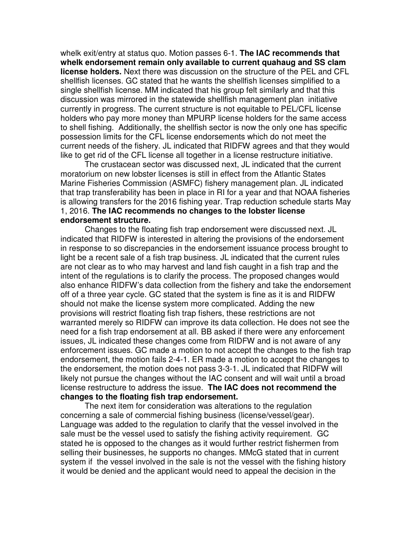whelk exit/entry at status quo. Motion passes 6-1. **The IAC recommends that whelk endorsement remain only available to current quahaug and SS clam license holders.** Next there was discussion on the structure of the PEL and CFL shellfish licenses. GC stated that he wants the shellfish licenses simplified to a single shellfish license. MM indicated that his group felt similarly and that this discussion was mirrored in the statewide shellfish management plan initiative currently in progress. The current structure is not equitable to PEL/CFL license holders who pay more money than MPURP license holders for the same access to shell fishing. Additionally, the shellfish sector is now the only one has specific possession limits for the CFL license endorsements which do not meet the current needs of the fishery. JL indicated that RIDFW agrees and that they would like to get rid of the CFL license all together in a license restructure initiative.

 The crustacean sector was discussed next, JL indicated that the current moratorium on new lobster licenses is still in effect from the Atlantic States Marine Fisheries Commission (ASMFC) fishery management plan. JL indicated that trap transferability has been in place in RI for a year and that NOAA fisheries is allowing transfers for the 2016 fishing year. Trap reduction schedule starts May 1, 2016. **The IAC recommends no changes to the lobster license endorsement structure.** 

Changes to the floating fish trap endorsement were discussed next. JL indicated that RIDFW is interested in altering the provisions of the endorsement in response to so discrepancies in the endorsement issuance process brought to light be a recent sale of a fish trap business. JL indicated that the current rules are not clear as to who may harvest and land fish caught in a fish trap and the intent of the regulations is to clarify the process. The proposed changes would also enhance RIDFW's data collection from the fishery and take the endorsement off of a three year cycle. GC stated that the system is fine as it is and RIDFW should not make the license system more complicated. Adding the new provisions will restrict floating fish trap fishers, these restrictions are not warranted merely so RIDFW can improve its data collection. He does not see the need for a fish trap endorsement at all. BB asked if there were any enforcement issues, JL indicated these changes come from RIDFW and is not aware of any enforcement issues. GC made a motion to not accept the changes to the fish trap endorsement, the motion fails 2-4-1. ER made a motion to accept the changes to the endorsement, the motion does not pass 3-3-1. JL indicated that RIDFW will likely not pursue the changes without the IAC consent and will wait until a broad license restructure to address the issue. **The IAC does not recommend the changes to the floating fish trap endorsement.** 

 The next item for consideration was alterations to the regulation concerning a sale of commercial fishing business (license/vessel/gear). Language was added to the regulation to clarify that the vessel involved in the sale must be the vessel used to satisfy the fishing activity requirement. GC stated he is opposed to the changes as it would further restrict fishermen from selling their businesses, he supports no changes. MMcG stated that in current system if the vessel involved in the sale is not the vessel with the fishing history it would be denied and the applicant would need to appeal the decision in the